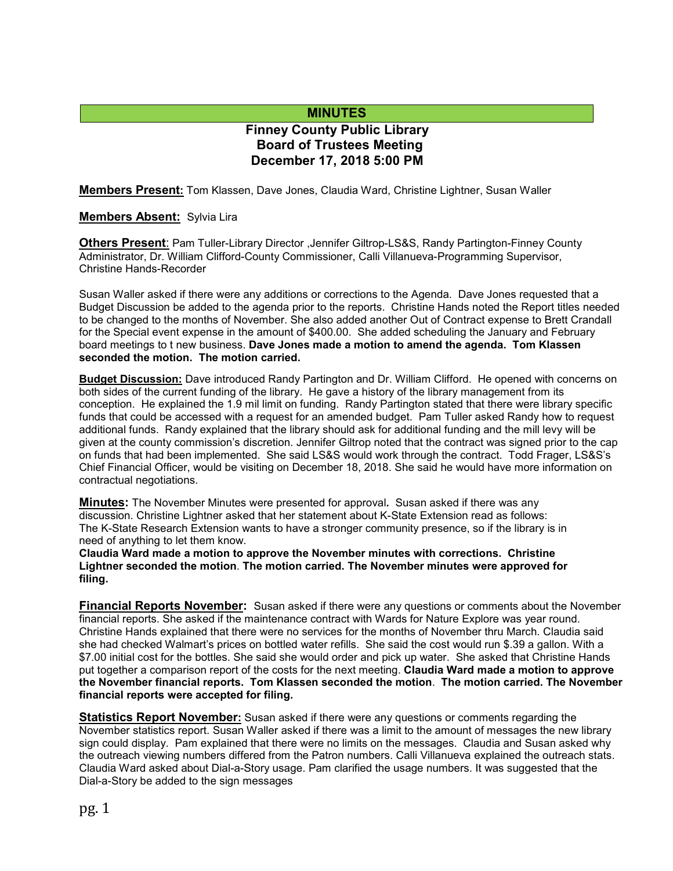# **MINUTES**

# **Finney County Public Library Board of Trustees Meeting December 17, 2018 5:00 PM**

**Members Present:** Tom Klassen, Dave Jones, Claudia Ward, Christine Lightner, Susan Waller

#### **Members Absent:** Sylvia Lira

**Others Present**: Pam Tuller-Library Director ,Jennifer Giltrop-LS&S, Randy Partington-Finney County Administrator, Dr. William Clifford-County Commissioner, Calli Villanueva-Programming Supervisor, Christine Hands-Recorder

Susan Waller asked if there were any additions or corrections to the Agenda. Dave Jones requested that a Budget Discussion be added to the agenda prior to the reports. Christine Hands noted the Report titles needed to be changed to the months of November. She also added another Out of Contract expense to Brett Crandall for the Special event expense in the amount of \$400.00. She added scheduling the January and February board meetings to t new business. **Dave Jones made a motion to amend the agenda. Tom Klassen seconded the motion. The motion carried.**

**Budget Discussion:** Dave introduced Randy Partington and Dr. William Clifford. He opened with concerns on both sides of the current funding of the library. He gave a history of the library management from its conception. He explained the 1.9 mil limit on funding. Randy Partington stated that there were library specific funds that could be accessed with a request for an amended budget. Pam Tuller asked Randy how to request additional funds. Randy explained that the library should ask for additional funding and the mill levy will be given at the county commission's discretion. Jennifer Giltrop noted that the contract was signed prior to the cap on funds that had been implemented. She said LS&S would work through the contract. Todd Frager, LS&S's Chief Financial Officer, would be visiting on December 18, 2018. She said he would have more information on contractual negotiations.

**Minutes:** The November Minutes were presented for approval**.** Susan asked if there was any discussion. Christine Lightner asked that her statement about K-State Extension read as follows: The K-State Research Extension wants to have a stronger community presence, so if the library is in need of anything to let them know.

**Claudia Ward made a motion to approve the November minutes with corrections. Christine Lightner seconded the motion**. **The motion carried. The November minutes were approved for filing.** 

**Financial Reports November:** Susan asked if there were any questions or comments about the November financial reports. She asked if the maintenance contract with Wards for Nature Explore was year round. Christine Hands explained that there were no services for the months of November thru March. Claudia said she had checked Walmart's prices on bottled water refills. She said the cost would run \$.39 a gallon. With a \$7.00 initial cost for the bottles. She said she would order and pick up water. She asked that Christine Hands put together a comparison report of the costs for the next meeting. **Claudia Ward made a motion to approve the November financial reports. Tom Klassen seconded the motion**. **The motion carried. The November financial reports were accepted for filing.**

**Statistics Report November:** Susan asked if there were any questions or comments regarding the November statistics report. Susan Waller asked if there was a limit to the amount of messages the new library sign could display. Pam explained that there were no limits on the messages. Claudia and Susan asked why the outreach viewing numbers differed from the Patron numbers. Calli Villanueva explained the outreach stats. Claudia Ward asked about Dial-a-Story usage. Pam clarified the usage numbers. It was suggested that the Dial-a-Story be added to the sign messages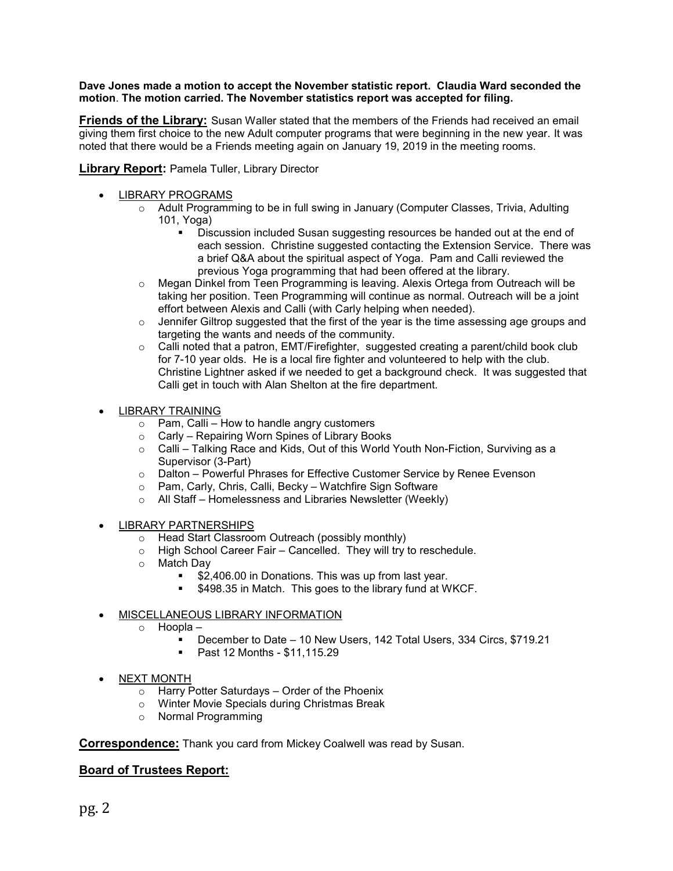#### **Dave Jones made a motion to accept the November statistic report. Claudia Ward seconded the motion**. **The motion carried. The November statistics report was accepted for filing.**

**Friends of the Library:** Susan Waller stated that the members of the Friends had received an email giving them first choice to the new Adult computer programs that were beginning in the new year. It was noted that there would be a Friends meeting again on January 19, 2019 in the meeting rooms.

**Library Report: Pamela Tuller, Library Director** 

- LIBRARY PROGRAMS
	- $\circ$  Adult Programming to be in full swing in January (Computer Classes, Trivia, Adulting 101, Yoga)
		- Discussion included Susan suggesting resources be handed out at the end of each session. Christine suggested contacting the Extension Service. There was a brief Q&A about the spiritual aspect of Yoga. Pam and Calli reviewed the previous Yoga programming that had been offered at the library.
	- o Megan Dinkel from Teen Programming is leaving. Alexis Ortega from Outreach will be taking her position. Teen Programming will continue as normal. Outreach will be a joint effort between Alexis and Calli (with Carly helping when needed).
	- o Jennifer Giltrop suggested that the first of the year is the time assessing age groups and targeting the wants and needs of the community.
	- $\circ$  Calli noted that a patron, EMT/Firefighter, suggested creating a parent/child book club for 7-10 year olds. He is a local fire fighter and volunteered to help with the club. Christine Lightner asked if we needed to get a background check. It was suggested that Calli get in touch with Alan Shelton at the fire department.
- LIBRARY TRAINING
	- $\circ$  Pam, Calli How to handle angry customers
	- o Carly Repairing Worn Spines of Library Books
	- $\circ$  Calli Talking Race and Kids, Out of this World Youth Non-Fiction, Surviving as a Supervisor (3-Part)
	- o Dalton Powerful Phrases for Effective Customer Service by Renee Evenson
	- o Pam, Carly, Chris, Calli, Becky Watchfire Sign Software
	- o All Staff Homelessness and Libraries Newsletter (Weekly)
- LIBRARY PARTNERSHIPS
	- o Head Start Classroom Outreach (possibly monthly)
	- o High School Career Fair Cancelled. They will try to reschedule.
	- o Match Day<br>S2
		- \$2,406.00 in Donations. This was up from last year.
			- **5498.35 in Match. This goes to the library fund at WKCF.**
- MISCELLANEOUS LIBRARY INFORMATION
	- o Hoopla
		- December to Date 10 New Users, 142 Total Users, 334 Circs, \$719.21
		- Past 12 Months \$11,115.29
- NEXT MONTH
	- $\circ$  Harry Potter Saturdays Order of the Phoenix
	- o Winter Movie Specials during Christmas Break
	- o Normal Programming

**Correspondence:** Thank you card from Mickey Coalwell was read by Susan.

## **Board of Trustees Report:**